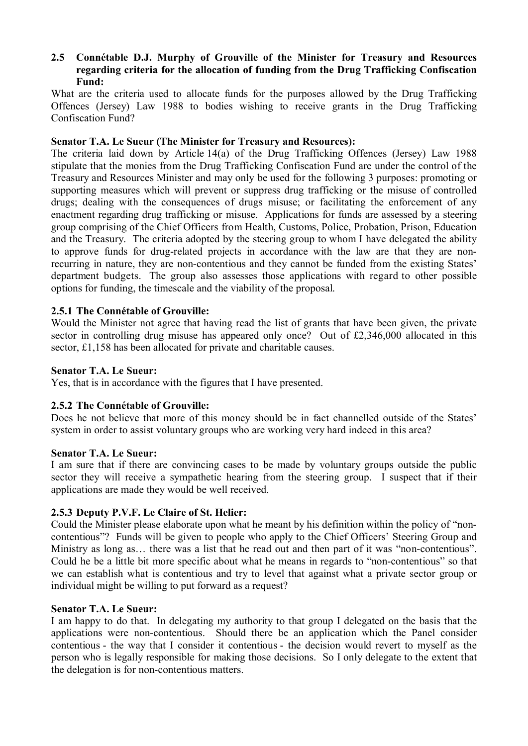# **2.5** � **Connétable D.J. Murphy of Grouville of the Minister for Treasury and Resources regarding criteria for the allocation of funding from the Drug Trafficking Confiscation Fund:**

What are the criteria used to allocate funds for the purposes allowed by the Drug Trafficking Offences (Jersey) Law 1988 to bodies wishing to receive grants in the Drug Trafficking Confiscation Fund?

## **Senator T.A. Le Sueur (The Minister for Treasury and Resources):**

The criteria laid down by Article 14(a) of the Drug Trafficking Offences (Jersey) Law 1988 stipulate that the monies from the Drug Trafficking Confiscation Fund are under the control of the Treasury and Resources Minister and may only be used for the following 3 purposes: promoting or supporting measures which will prevent or suppress drug trafficking or the misuse of controlled drugs; dealing with the consequences of drugs misuse; or facilitating the enforcement of any enactment regarding drug trafficking or misuse. Applications for funds are assessed by a steering group comprising of the Chief Officers from Health, Customs, Police, Probation, Prison, Education and the Treasury. The criteria adopted by the steering group to whom I have delegated the ability to approve funds for drug-related projects in accordance with the law are that they are nonrecurring in nature, they are non-contentious and they cannot be funded from the existing States' department budgets. The group also assesses those applications with regard to other possible options for funding, the timescale and the viability of the proposal.

## **2.5.1 The Connétable of Grouville:**

Would the Minister not agree that having read the list of grants that have been given, the private sector in controlling drug misuse has appeared only once? Out of £2,346,000 allocated in this sector, £1,158 has been allocated for private and charitable causes.

#### **Senator T.A. Le Sueur:**

Yes, that is in accordance with the figures that I have presented.

#### **2.5.2 The Connétable of Grouville:**

Does he not believe that more of this money should be in fact channelled outside of the States' system in order to assist voluntary groups who are working very hard indeed in this area?

#### **Senator T.A. Le Sueur:**

I am sure that if there are convincing cases to be made by voluntary groups outside the public sector they will receive a sympathetic hearing from the steering group. I suspect that if their applications are made they would be well received.

# **2.5.3 Deputy P.V.F. Le Claire of St. Helier:**

Could the Minister please elaborate upon what he meant by his definition within the policy of "noncontentious"? Funds will be given to people who apply to the Chief Officers' Steering Group and Ministry as long as… there was a list that he read out and then part of it was "non-contentious". Could he be a little bit more specific about what he means in regards to "non-contentious" so that we can establish what is contentious and try to level that against what a private sector group or individual might be willing to put forward as a request?

## **Senator T.A. Le Sueur:**

I am happy to do that. In delegating my authority to that group I delegated on the basis that the applications were non-contentious. Should there be an application which the Panel consider contentious - the way that I consider it contentious - the decision would revert to myself as the person who is legally responsible for making those decisions. So I only delegate to the extent that the delegation is for non-contentious matters.